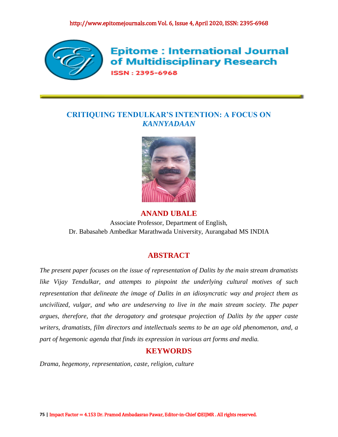

**Epitome: International Journal** of Multidisciplinary Research **ISSN: 2395-6968** 

# **CRITIQUING TENDULKAR'S INTENTION: A FOCUS ON**  *KANNYADAAN*



# **ANAND UBALE**

Associate Professor, Department of English, Dr. Babasaheb Ambedkar Marathwada University, Aurangabad MS INDIA

# **ABSTRACT**

*The present paper focuses on the issue of representation of Dalits by the main stream dramatists like Vijay Tendulkar, and attempts to pinpoint the underlying cultural motives of such representation that delineate the image of Dalits in an idiosyncratic way and project them as uncivilized, vulgar, and who are undeserving to live in the main stream society. The paper argues, therefore, that the derogatory and grotesque projection of Dalits by the upper caste writers, dramatists, film directors and intellectuals seems to be an age old phenomenon, and, a part of hegemonic agenda that finds its expression in various art forms and media.*

# **KEYWORDS**

*Drama, hegemony, representation, caste, religion, culture*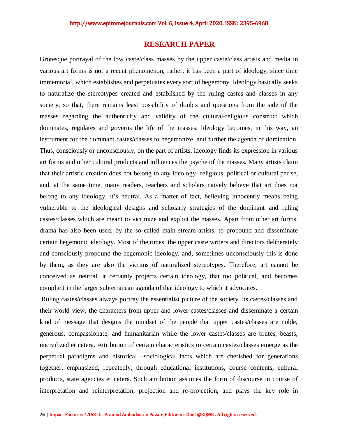## **RESEARCH PAPER**

Grotesque portrayal of the low caste/class masses by the upper caste/class artists and media in various art forms is not a recent phenomenon, rather, it has been a part of ideology, since time immemorial, which establishes and perpetuates every sort of hegemony. Ideology basically seeks to naturalize the stereotypes created and established by the ruling castes and classes in any society, so that, there remains least possibility of doubts and questions from the side of the masses regarding the authenticity and validity of the cultural-religious construct which dominates, regulates and governs the life of the masses. Ideology becomes, in this way, an instrument for the dominant castes/classes to hegemonize, and further the agenda of domination. Thus, consciously or unconsciously, on the part of artists, ideology finds its expression in various art forms and other cultural products and influences the psyche of the masses. Many artists claim that their artistic creation does not belong to any ideology- religious, political or cultural per se, and, at the same time, many readers, teachers and scholars naively believe that art does not belong to any ideology, it's neutral. As a matter of fact, believing innocently means being vulnerable to the ideological designs and scholarly strategies of the dominant and ruling castes/classes which are meant to victimize and exploit the masses. Apart from other art forms, drama has also been used, by the so called main stream artists, to propound and disseminate certain hegemonic ideology. Most of the times, the upper caste writers and directors deliberately and consciously propound the hegemonic ideology, and, sometimes unconsciously this is done by them, as they are also the victims of naturalized stereotypes. Therefore, art cannot be conceived as neutral, it certainly projects certain ideology, that too political, and becomes complicit in the larger subterranean agenda of that ideology to which it advocates.

Ruling castes/classes always portray the essentialist picture of the society, its castes/classes and their world view, the characters from upper and lower castes/classes and disseminate a certain kind of message that designs the mindset of the people that upper castes/classes are noble, generous, compassionate, and humanitarian while the lower castes/classes are brutes, beasts, uncivilized et cetera. Attribution of certain characteristics to certain castes/classes emerge as the perpetual paradigms and historical –sociological facts which are cherished for generations together, emphasized, repeatedly, through educational institutions, course contents, cultural products, state agencies et cetera. Such attribution assumes the form of discourse in course of interpretation and reinterpretation, projection and re-projection, and plays the key role in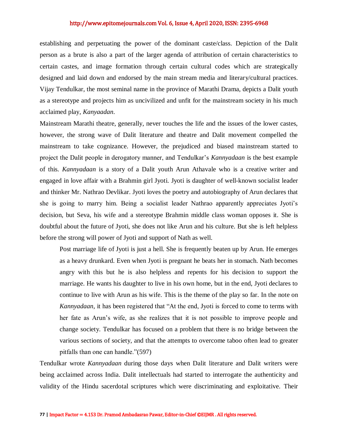### http://www.epitomejournals.com Vol. 6, Issue 4, April 2020, ISSN: 2395-6968

establishing and perpetuating the power of the dominant caste/class. Depiction of the Dalit person as a brute is also a part of the larger agenda of attribution of certain characteristics to certain castes, and image formation through certain cultural codes which are strategically designed and laid down and endorsed by the main stream media and literary/cultural practices. Vijay Tendulkar, the most seminal name in the province of Marathi Drama, depicts a Dalit youth as a stereotype and projects him as uncivilized and unfit for the mainstream society in his much acclaimed play, *Kanyaadan*.

Mainstream Marathi theatre, generally, never touches the life and the issues of the lower castes, however, the strong wave of Dalit literature and theatre and Dalit movement compelled the mainstream to take cognizance. However, the prejudiced and biased mainstream started to project the Dalit people in derogatory manner, and Tendulkar's *Kannyadaan* is the best example of this. *Kannyadaan* is a story of a Dalit youth Arun Athavale who is a creative writer and engaged in love affair with a Brahmin girl Jyoti. Jyoti is daughter of well-known socialist leader and thinker Mr. Nathrao Devlikar. Jyoti loves the poetry and autobiography of Arun declares that she is going to marry him. Being a socialist leader Nathrao apparently appreciates Jyoti's decision, but Seva, his wife and a stereotype Brahmin middle class woman opposes it. She is doubtful about the future of Jyoti, she does not like Arun and his culture. But she is left helpless before the strong will power of Jyoti and support of Nath as well.

Post marriage life of Jyoti is just a hell. She is frequently beaten up by Arun. He emerges as a heavy drunkard. Even when Jyoti is pregnant he beats her in stomach. Nath becomes angry with this but he is also helpless and repents for his decision to support the marriage. He wants his daughter to live in his own home, but in the end, Jyoti declares to continue to live with Arun as his wife. This is the theme of the play so far. In the note on *Kannyadaan*, it has been registered that "At the end, Jyoti is forced to come to terms with her fate as Arun's wife, as she realizes that it is not possible to improve people and change society. Tendulkar has focused on a problem that there is no bridge between the various sections of society, and that the attempts to overcome taboo often lead to greater pitfalls than one can handle."(597)

Tendulkar wrote *Kannyadaan* during those days when Dalit literature and Dalit writers were being acclaimed across India. Dalit intellectuals had started to interrogate the authenticity and validity of the Hindu sacerdotal scriptures which were discriminating and exploitative. Their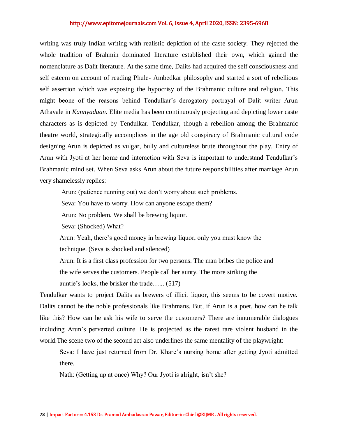### http://www.epitomejournals.com Vol. 6, Issue 4, April 2020, ISSN: 2395-6968

writing was truly Indian writing with realistic depiction of the caste society. They rejected the whole tradition of Brahmin dominated literature established their own, which gained the nomenclature as Dalit literature. At the same time, Dalits had acquired the self consciousness and self esteem on account of reading Phule- Ambedkar philosophy and started a sort of rebellious self assertion which was exposing the hypocrisy of the Brahmanic culture and religion. This might beone of the reasons behind Tendulkar's derogatory portrayal of Dalit writer Arun Athavale in *Kannyadaan*. Elite media has been continuously projecting and depicting lower caste characters as is depicted by Tendulkar. Tendulkar, though a rebellion among the Brahmanic theatre world, strategically accomplices in the age old conspiracy of Brahmanic cultural code designing.Arun is depicted as vulgar, bully and cultureless brute throughout the play. Entry of Arun with Jyoti at her home and interaction with Seva is important to understand Tendulkar's Brahmanic mind set. When Seva asks Arun about the future responsibilities after marriage Arun very shamelessly replies:

Arun: (patience running out) we don't worry about such problems.

Seva: You have to worry. How can anyone escape them?

Arun: No problem. We shall be brewing liquor.

Seva: (Shocked) What?

Arun: Yeah, there's good money in brewing liquor, only you must know the technique. (Seva is shocked and silenced)

Arun: It is a first class profession for two persons. The man bribes the police and the wife serves the customers. People call her aunty. The more striking the auntie's looks, the brisker the trade…... (517)

Tendulkar wants to project Dalits as brewers of illicit liquor, this seems to be covert motive. Dalits cannot be the noble professionals like Brahmans. But, if Arun is a poet, how can he talk like this? How can he ask his wife to serve the customers? There are innumerable dialogues including Arun's perverted culture. He is projected as the rarest rare violent husband in the world.The scene two of the second act also underlines the same mentality of the playwright:

Seva: I have just returned from Dr. Khare's nursing home after getting Jyoti admitted there.

Nath: (Getting up at once) Why? Our Jyoti is alright, isn't she?